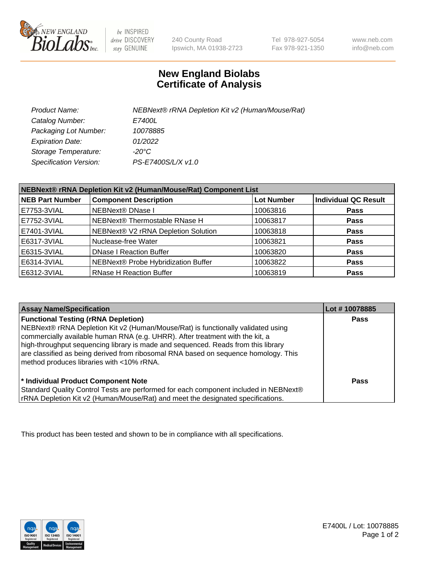

 $be$  INSPIRED drive DISCOVERY stay GENUINE

240 County Road Ipswich, MA 01938-2723 Tel 978-927-5054 Fax 978-921-1350

www.neb.com info@neb.com

## **New England Biolabs Certificate of Analysis**

| Product Name:           | NEBNext® rRNA Depletion Kit v2 (Human/Mouse/Rat) |
|-------------------------|--------------------------------------------------|
| Catalog Number:         | <i>E7400L</i>                                    |
| Packaging Lot Number:   | 10078885                                         |
| <b>Expiration Date:</b> | 01/2022                                          |
| Storage Temperature:    | -20°C                                            |
| Specification Version:  | PS-E7400S/L/X v1.0                               |

| NEBNext® rRNA Depletion Kit v2 (Human/Mouse/Rat) Component List |                                     |                   |                             |  |
|-----------------------------------------------------------------|-------------------------------------|-------------------|-----------------------------|--|
| <b>NEB Part Number</b>                                          | <b>Component Description</b>        | <b>Lot Number</b> | <b>Individual QC Result</b> |  |
| E7753-3VIAL                                                     | NEBNext® DNase I                    | 10063816          | <b>Pass</b>                 |  |
| E7752-3VIAL                                                     | NEBNext® Thermostable RNase H       | 10063817          | <b>Pass</b>                 |  |
| E7401-3VIAL                                                     | NEBNext® V2 rRNA Depletion Solution | 10063818          | <b>Pass</b>                 |  |
| E6317-3VIAL                                                     | Nuclease-free Water                 | 10063821          | <b>Pass</b>                 |  |
| E6315-3VIAL                                                     | <b>DNase I Reaction Buffer</b>      | 10063820          | <b>Pass</b>                 |  |
| E6314-3VIAL                                                     | NEBNext® Probe Hybridization Buffer | 10063822          | <b>Pass</b>                 |  |
| E6312-3VIAL                                                     | <b>RNase H Reaction Buffer</b>      | 10063819          | <b>Pass</b>                 |  |

| <b>Assay Name/Specification</b>                                                                                                                                                                                                                                                                                                                                                                                                          | Lot #10078885 |
|------------------------------------------------------------------------------------------------------------------------------------------------------------------------------------------------------------------------------------------------------------------------------------------------------------------------------------------------------------------------------------------------------------------------------------------|---------------|
| <b>Functional Testing (rRNA Depletion)</b><br>NEBNext® rRNA Depletion Kit v2 (Human/Mouse/Rat) is functionally validated using<br>commercially available human RNA (e.g. UHRR). After treatment with the kit, a<br>high-throughput sequencing library is made and sequenced. Reads from this library<br>are classified as being derived from ribosomal RNA based on sequence homology. This<br>method produces libraries with <10% rRNA. | Pass          |
| * Individual Product Component Note<br>Standard Quality Control Tests are performed for each component included in NEBNext®<br>rRNA Depletion Kit v2 (Human/Mouse/Rat) and meet the designated specifications.                                                                                                                                                                                                                           | Pass          |

This product has been tested and shown to be in compliance with all specifications.